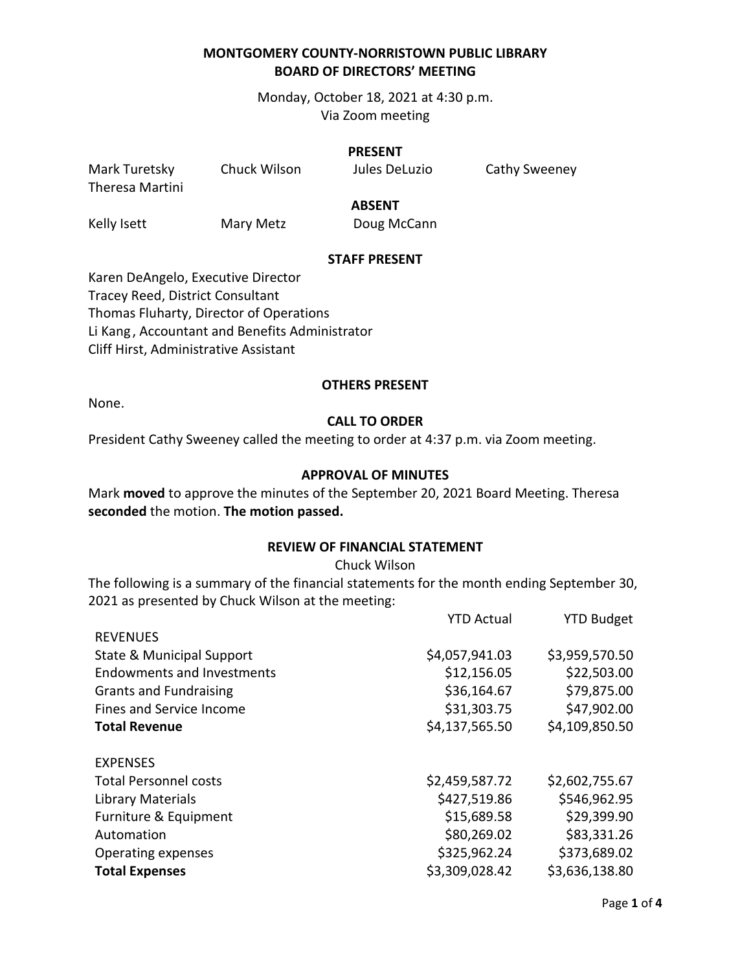Monday, October 18, 2021 at 4:30 p.m. Via Zoom meeting

#### **PRESENT**

Mark Turetsky Chuck Wilson Jules DeLuzio Cathy Sweeney Theresa Martini **ABSENT**

Kelly Isett Mary Metz Doug McCann

#### **STAFF PRESENT**

Karen DeAngelo, Executive Director Tracey Reed, District Consultant Thomas Fluharty, Director of Operations Li Kang , Accountant and Benefits Administrator Cliff Hirst, Administrative Assistant

#### **OTHERS PRESENT**

None.

#### **CALL TO ORDER**

President Cathy Sweeney called the meeting to order at 4:37 p.m. via Zoom meeting.

#### **APPROVAL OF MINUTES**

Mark **moved** to approve the minutes of the September 20, 2021 Board Meeting. Theresa **seconded** the motion. **The motion passed.**

# **REVIEW OF FINANCIAL STATEMENT**

Chuck Wilson

The following is a summary of the financial statements for the month ending September 30, 2021 as presented by Chuck Wilson at the meeting:

| <b>YTD Actual</b> | <b>YTD Budget</b> |
|-------------------|-------------------|
|                   |                   |
| \$4,057,941.03    | \$3,959,570.50    |
| \$12,156.05       | \$22,503.00       |
| \$36,164.67       | \$79,875.00       |
| \$31,303.75       | \$47,902.00       |
| \$4,137,565.50    | \$4,109,850.50    |
|                   |                   |
| \$2,459,587.72    | \$2,602,755.67    |
| \$427,519.86      | \$546,962.95      |
| \$15,689.58       | \$29,399.90       |
| \$80,269.02       | \$83,331.26       |
| \$325,962.24      | \$373,689.02      |
| \$3,309,028.42    | \$3,636,138.80    |
|                   |                   |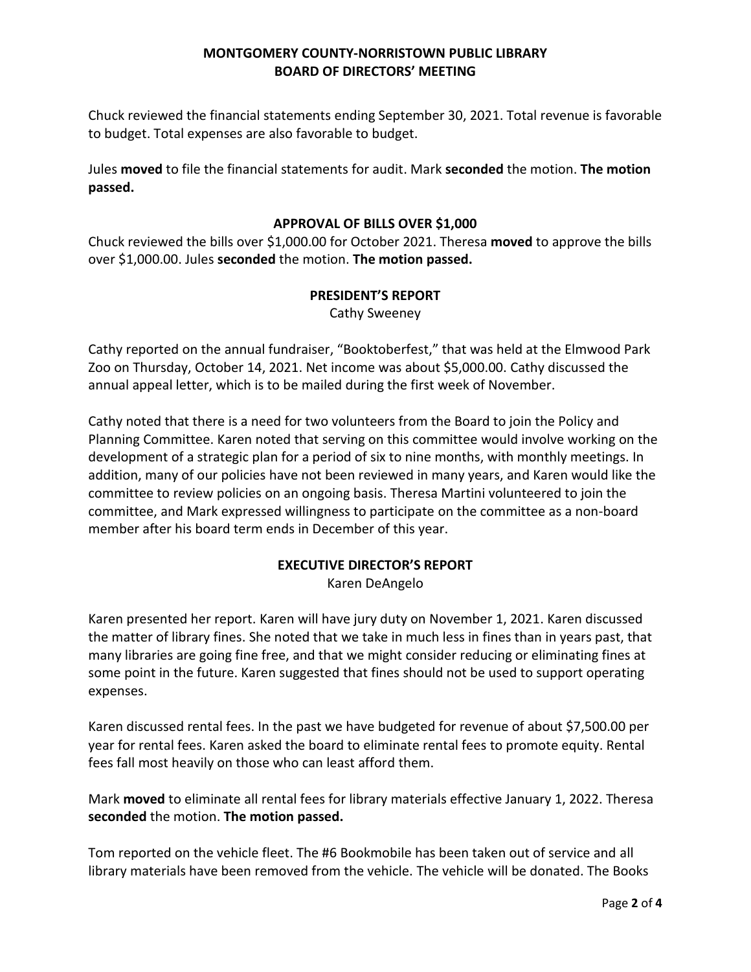Chuck reviewed the financial statements ending September 30, 2021. Total revenue is favorable to budget. Total expenses are also favorable to budget.

Jules **moved** to file the financial statements for audit. Mark **seconded** the motion. **The motion passed.** 

#### **APPROVAL OF BILLS OVER \$1,000**

Chuck reviewed the bills over \$1,000.00 for October 2021. Theresa **moved** to approve the bills over \$1,000.00. Jules **seconded** the motion. **The motion passed.**

#### **PRESIDENT'S REPORT**

Cathy Sweeney

Cathy reported on the annual fundraiser, "Booktoberfest," that was held at the Elmwood Park Zoo on Thursday, October 14, 2021. Net income was about \$5,000.00. Cathy discussed the annual appeal letter, which is to be mailed during the first week of November.

Cathy noted that there is a need for two volunteers from the Board to join the Policy and Planning Committee. Karen noted that serving on this committee would involve working on the development of a strategic plan for a period of six to nine months, with monthly meetings. In addition, many of our policies have not been reviewed in many years, and Karen would like the committee to review policies on an ongoing basis. Theresa Martini volunteered to join the committee, and Mark expressed willingness to participate on the committee as a non-board member after his board term ends in December of this year.

# **EXECUTIVE DIRECTOR'S REPORT**

Karen DeAngelo

Karen presented her report. Karen will have jury duty on November 1, 2021. Karen discussed the matter of library fines. She noted that we take in much less in fines than in years past, that many libraries are going fine free, and that we might consider reducing or eliminating fines at some point in the future. Karen suggested that fines should not be used to support operating expenses.

Karen discussed rental fees. In the past we have budgeted for revenue of about \$7,500.00 per year for rental fees. Karen asked the board to eliminate rental fees to promote equity. Rental fees fall most heavily on those who can least afford them.

Mark **moved** to eliminate all rental fees for library materials effective January 1, 2022. Theresa **seconded** the motion. **The motion passed.**

Tom reported on the vehicle fleet. The #6 Bookmobile has been taken out of service and all library materials have been removed from the vehicle. The vehicle will be donated. The Books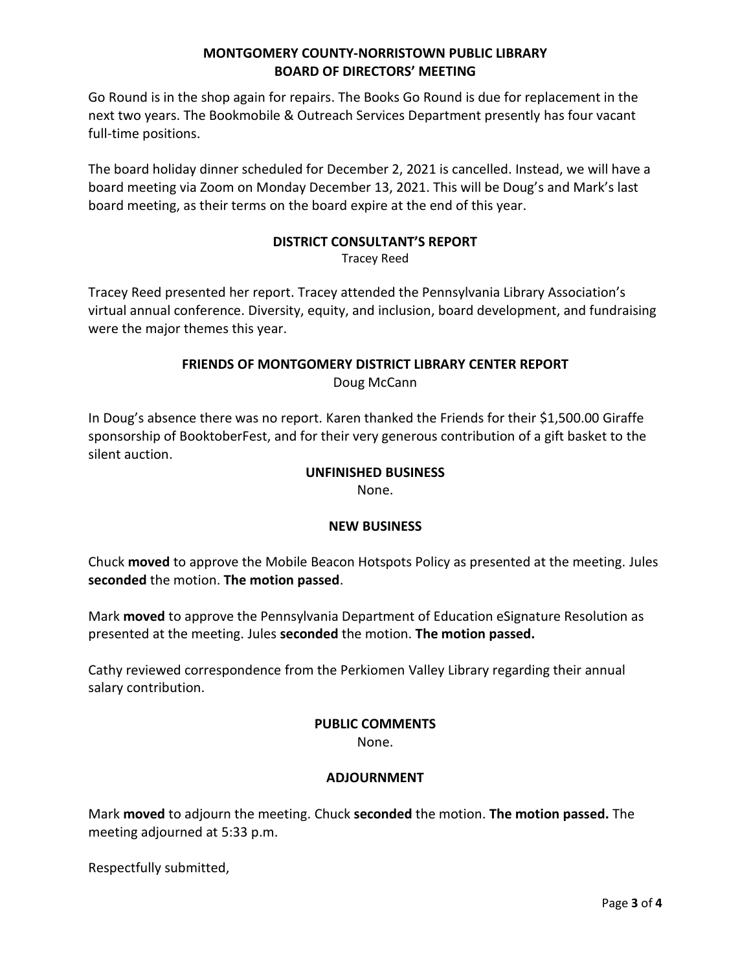Go Round is in the shop again for repairs. The Books Go Round is due for replacement in the next two years. The Bookmobile & Outreach Services Department presently has four vacant full-time positions.

The board holiday dinner scheduled for December 2, 2021 is cancelled. Instead, we will have a board meeting via Zoom on Monday December 13, 2021. This will be Doug's and Mark's last board meeting, as their terms on the board expire at the end of this year.

# **DISTRICT CONSULTANT'S REPORT**

Tracey Reed

Tracey Reed presented her report. Tracey attended the Pennsylvania Library Association's virtual annual conference. Diversity, equity, and inclusion, board development, and fundraising were the major themes this year.

# **FRIENDS OF MONTGOMERY DISTRICT LIBRARY CENTER REPORT**

Doug McCann

In Doug's absence there was no report. Karen thanked the Friends for their \$1,500.00 Giraffe sponsorship of BooktoberFest, and for their very generous contribution of a gift basket to the silent auction.

#### **UNFINISHED BUSINESS**

None.

### **NEW BUSINESS**

Chuck **moved** to approve the Mobile Beacon Hotspots Policy as presented at the meeting. Jules **seconded** the motion. **The motion passed**.

Mark **moved** to approve the Pennsylvania Department of Education eSignature Resolution as presented at the meeting. Jules **seconded** the motion. **The motion passed.**

Cathy reviewed correspondence from the Perkiomen Valley Library regarding their annual salary contribution.

### **PUBLIC COMMENTS**

None.

### **ADJOURNMENT**

Mark **moved** to adjourn the meeting. Chuck **seconded** the motion. **The motion passed.** The meeting adjourned at 5:33 p.m.

Respectfully submitted,